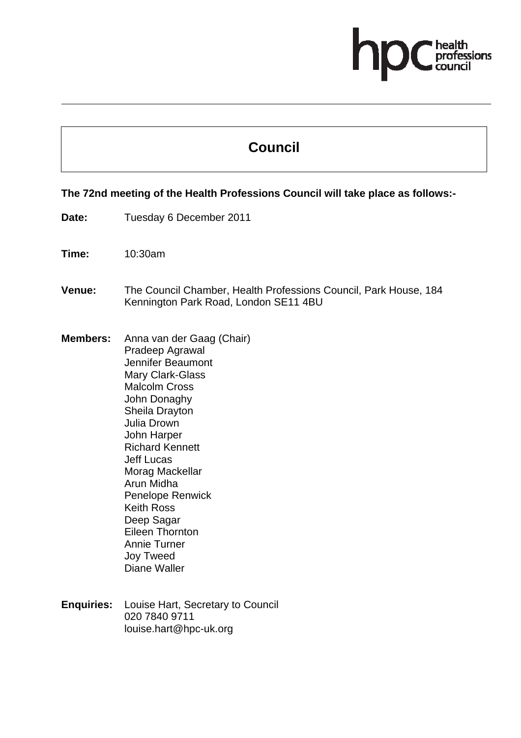# ofessions

## **Council**

#### **The 72nd meeting of the Health Professions Council will take place as follows:-**

- **Date:** Tuesday 6 December 2011
- **Time:** 10:30am
- **Venue:** The Council Chamber, Health Professions Council, Park House, 184 Kennington Park Road, London SE11 4BU
- **Members:** Anna van der Gaag (Chair) Pradeep Agrawal Jennifer Beaumont Mary Clark-Glass Malcolm Cross John Donaghy Sheila Drayton Julia Drown John Harper Richard Kennett Jeff Lucas Morag Mackellar Arun Midha Penelope Renwick Keith Ross Deep Sagar Eileen Thornton Annie Turner Joy Tweed Diane Waller
- **Enquiries:** Louise Hart, Secretary to Council 020 7840 9711 louise.hart@hpc-uk.org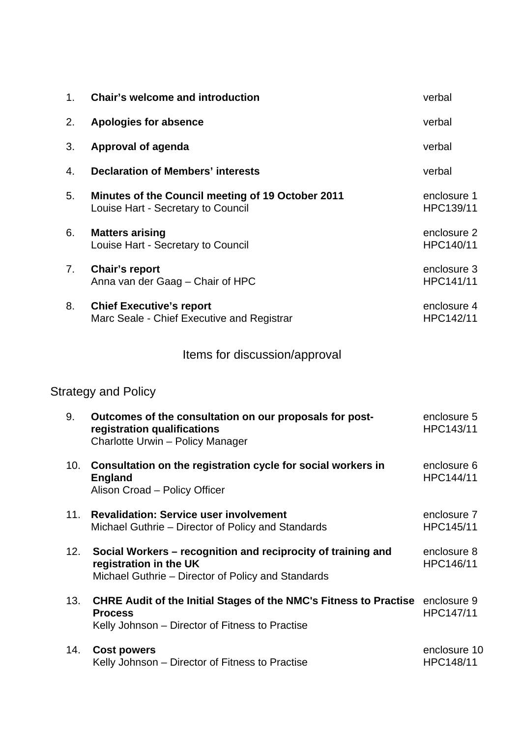| 1.                         | <b>Chair's welcome and introduction</b>                                                                                                      | verbal                   |  |  |
|----------------------------|----------------------------------------------------------------------------------------------------------------------------------------------|--------------------------|--|--|
| 2.                         | <b>Apologies for absence</b>                                                                                                                 | verbal                   |  |  |
| 3.                         | <b>Approval of agenda</b>                                                                                                                    | verbal                   |  |  |
| 4.                         | <b>Declaration of Members' interests</b>                                                                                                     | verbal                   |  |  |
| 5.                         | <b>Minutes of the Council meeting of 19 October 2011</b><br>Louise Hart - Secretary to Council                                               | enclosure 1<br>HPC139/11 |  |  |
| 6.                         | <b>Matters arising</b><br>Louise Hart - Secretary to Council                                                                                 | enclosure 2<br>HPC140/11 |  |  |
| 7.                         | <b>Chair's report</b><br>Anna van der Gaag - Chair of HPC                                                                                    | enclosure 3<br>HPC141/11 |  |  |
| 8.                         | <b>Chief Executive's report</b><br>Marc Seale - Chief Executive and Registrar                                                                | enclosure 4<br>HPC142/11 |  |  |
|                            | Items for discussion/approval                                                                                                                |                          |  |  |
| <b>Strategy and Policy</b> |                                                                                                                                              |                          |  |  |
| 9.                         | Outcomes of the consultation on our proposals for post-<br>registration qualifications<br>Charlotte Urwin - Policy Manager                   | enclosure 5<br>HPC143/11 |  |  |
| 10.                        | Consultation on the registration cycle for social workers in<br><b>England</b><br>Alison Croad - Policy Officer                              | enclosure 6<br>HPC144/11 |  |  |
| 11.                        | <b>Revalidation: Service user involvement</b><br>Michael Guthrie - Director of Policy and Standards                                          | enclosure 7<br>HPC145/11 |  |  |
| 12.                        | Social Workers - recognition and reciprocity of training and<br>registration in the UK<br>Michael Guthrie - Director of Policy and Standards | enclosure 8<br>HPC146/11 |  |  |
| 13.                        | CHRE Audit of the Initial Stages of the NMC's Fitness to Practise enclosure 9                                                                |                          |  |  |

**Process** Kelly Johnson – Director of Fitness to Practise HPC147/11

| 14. Cost powers                                 | enclosure 10 |
|-------------------------------------------------|--------------|
| Kelly Johnson – Director of Fitness to Practise | HPC148/11    |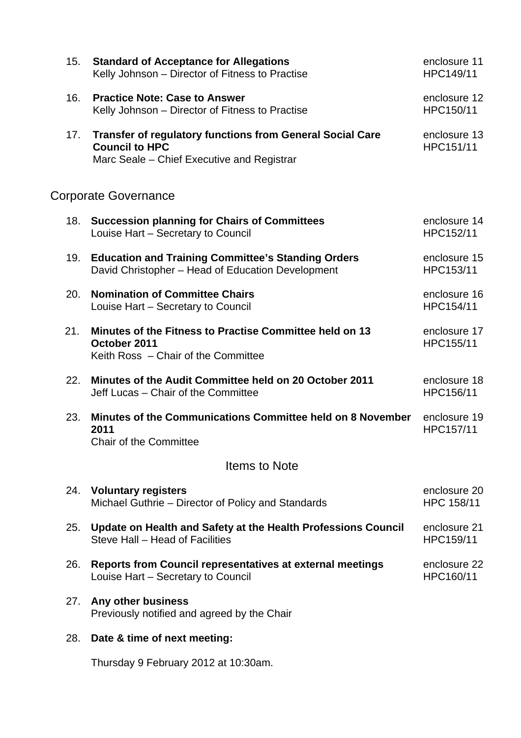| 15.           | <b>Standard of Acceptance for Allegations</b><br>Kelly Johnson - Director of Fitness to Practise                                        | enclosure 11<br>HPC149/11  |  |  |
|---------------|-----------------------------------------------------------------------------------------------------------------------------------------|----------------------------|--|--|
| 16.           | <b>Practice Note: Case to Answer</b><br>Kelly Johnson - Director of Fitness to Practise                                                 | enclosure 12<br>HPC150/11  |  |  |
| 17.           | <b>Transfer of regulatory functions from General Social Care</b><br><b>Council to HPC</b><br>Marc Seale – Chief Executive and Registrar | enclosure 13<br>HPC151/11  |  |  |
|               | <b>Corporate Governance</b>                                                                                                             |                            |  |  |
| 18.           | <b>Succession planning for Chairs of Committees</b><br>Louise Hart - Secretary to Council                                               | enclosure 14<br>HPC152/11  |  |  |
| 19.           | <b>Education and Training Committee's Standing Orders</b><br>David Christopher - Head of Education Development                          | enclosure 15<br>HPC153/11  |  |  |
| 20.           | <b>Nomination of Committee Chairs</b><br>Louise Hart - Secretary to Council                                                             | enclosure 16<br>HPC154/11  |  |  |
| 21.           | Minutes of the Fitness to Practise Committee held on 13<br>October 2011<br>Keith Ross - Chair of the Committee                          | enclosure 17<br>HPC155/11  |  |  |
| 22.           | Minutes of the Audit Committee held on 20 October 2011<br>Jeff Lucas - Chair of the Committee                                           | enclosure 18<br>HPC156/11  |  |  |
| 23.           | Minutes of the Communications Committee held on 8 November<br>2011<br><b>Chair of the Committee</b>                                     | enclosure 19<br>HPC157/11  |  |  |
| Items to Note |                                                                                                                                         |                            |  |  |
| 24.           | <b>Voluntary registers</b><br>Michael Guthrie – Director of Policy and Standards                                                        | enclosure 20<br>HPC 158/11 |  |  |
| 25.           | Update on Health and Safety at the Health Professions Council<br>Steve Hall - Head of Facilities                                        | enclosure 21<br>HPC159/11  |  |  |
| 26.           | Reports from Council representatives at external meetings<br>Louise Hart - Secretary to Council                                         | enclosure 22<br>HPC160/11  |  |  |
| 27.           | Any other business<br>Previously notified and agreed by the Chair                                                                       |                            |  |  |
| 28.           | Date & time of next meeting:                                                                                                            |                            |  |  |
|               | Thursday 9 February 2012 at 10:30am.                                                                                                    |                            |  |  |